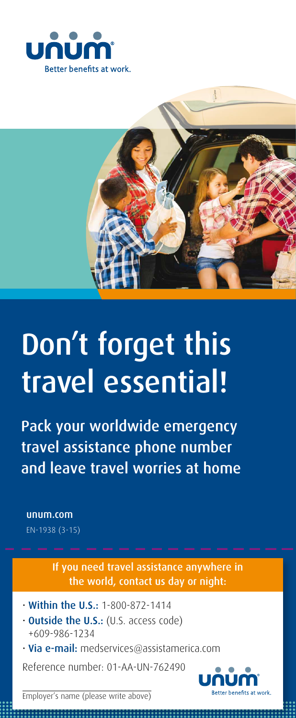



## Don't forget this travel essential!

Pack your worldwide emergency travel assistance phone number and leave travel worries at home

unum.com EN-1938 (3-15)

> If you need travel assistance anywhere in the world, contact us day or night:

- Within the U.S.: 1-800-872-1414
- **Outside the U.S.:** (U.S. access code) +609-986-1234
- Via e-mail: medservices@assistamerica.com

Reference number: 01-AA-UN-762490



Employer's name (please write above)